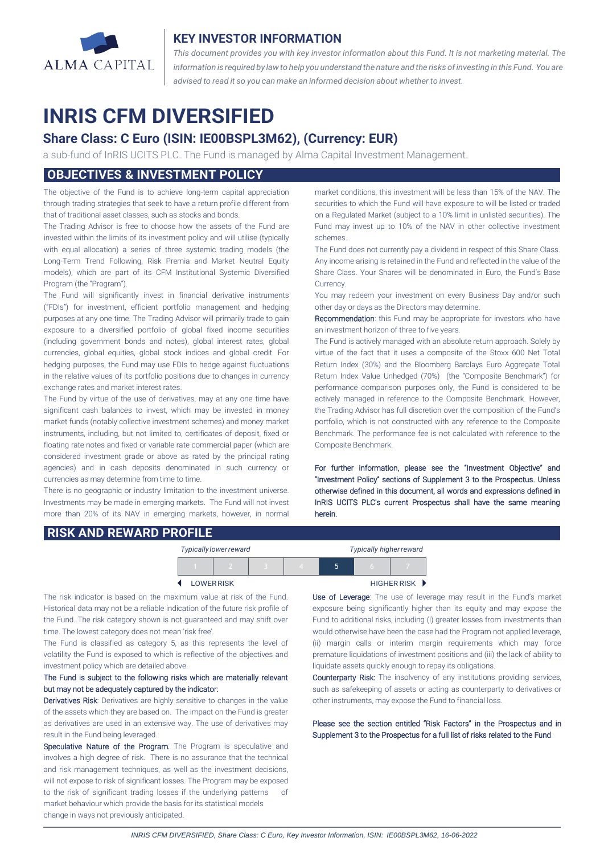

### **KEY INVESTOR INFORMATION**

*This document provides you with key investor information about this Fund. It is not marketing material. The* information is required by law to help you understand the nature and the risks of investing in this Fund. You are *advised to read it so you can make an informed decision about whether to invest.*

# **INRIS CFM DIVERSIFIED**

# **Share Class: C Euro (ISIN: IE00BSPL3M62), (Currency: EUR)**

a sub-fund of InRIS UCITS PLC. The Fund is managed by Alma Capital Investment Management.

# **OBJECTIVES & INVESTMENT POLICY**

The objective of the Fund is to achieve long-term capital appreciation through trading strategies that seek to have a return profile different from that of traditional asset classes, such as stocks and bonds.

The Trading Advisor is free to choose how the assets of the Fund are invested within the limits of its investment policy and will utilise (typically with equal allocation) a series of three systemic trading models (the Long-Term Trend Following, Risk Premia and Market Neutral Equity models), which are part of its CFM Institutional Systemic Diversified Program (the "Program").

The Fund will significantly invest in financial derivative instruments ("FDIs") for investment, efficient portfolio management and hedging purposes at any one time. The Trading Advisor will primarily trade to gain exposure to a diversified portfolio of global fixed income securities (including government bonds and notes), global interest rates, global currencies, global equities, global stock indices and global credit. For hedging purposes, the Fund may use FDIs to hedge against fluctuations in the relative values of its portfolio positions due to changes in currency exchange rates and market interest rates.

The Fund by virtue of the use of derivatives, may at any one time have significant cash balances to invest, which may be invested in money market funds (notably collective investment schemes) and money market instruments, including, but not limited to, certificates of deposit, fixed or floating rate notes and fixed or variable rate commercial paper (which are considered investment grade or above as rated by the principal rating agencies) and in cash deposits denominated in such currency or currencies as may determine from time to time.

There is no geographic or industry limitation to the investment universe. Investments may be made in emerging markets. The Fund will not invest more than 20% of its NAV in emerging markets, however, in normal market conditions, this investment will be less than 15% of the NAV. The securities to which the Fund will have exposure to will be listed or traded on a Regulated Market (subject to a 10% limit in unlisted securities). The Fund may invest up to 10% of the NAV in other collective investment schemes.

The Fund does not currently pay a dividend in respect of this Share Class. Any income arising is retained in the Fund and reflected in the value of the Share Class. Your Shares will be denominated in Euro, the Fund's Base Currency.

You may redeem your investment on every Business Day and/or such other day or days as the Directors may determine.

Recommendation: this Fund may be appropriate for investors who have an investment horizon of three to five years.

The Fund is actively managed with an absolute return approach. Solely by virtue of the fact that it uses a composite of the Stoxx 600 Net Total Return Index (30%) and the Bloomberg Barclays Euro Aggregate Total Return Index Value Unhedged (70%) (the "Composite Benchmark") for performance comparison purposes only, the Fund is considered to be actively managed in reference to the Composite Benchmark. However, the Trading Advisor has full discretion over the composition of the Fund's portfolio, which is not constructed with any reference to the Composite Benchmark. The performance fee is not calculated with reference to the Composite Benchmark.

For further information, please see the "Investment Objective" and "Investment Policy" sections of Supplement 3 to the Prospectus. Unless otherwise defined in this document, all words and expressions defined in InRIS UCITS PLC's current Prospectus shall have the same meaning herein.

### **RISK AND REWARD PROFILE**

| Typically lower reward |                   |  |  |  | <b>Typically higher reward</b> |  |  |
|------------------------|-------------------|--|--|--|--------------------------------|--|--|
|                        |                   |  |  |  | 5                              |  |  |
|                        | <b>LOWER RISK</b> |  |  |  | <b>HIGHER RISK ▶</b>           |  |  |

The risk indicator is based on the maximum value at risk of the Fund. Historical data may not be a reliable indication of the future risk profile of the Fund. The risk category shown is not guaranteed and may shift over time. The lowest category does not mean 'risk free'.

The Fund is classified as category 5, as this represents the level of volatility the Fund is exposed to which is reflective of the objectives and investment policy which are detailed above.

#### The Fund is subject to the following risks which are materially relevant but may not be adequately captured by the indicator:

Derivatives Risk: Derivatives are highly sensitive to changes in the value of the assets which they are based on. The impact on the Fund is greater as derivatives are used in an extensive way. The use of derivatives may result in the Fund being leveraged.

Speculative Nature of the Program: The Program is speculative and involves a high degree of risk. There is no assurance that the technical and risk management techniques, as well as the investment decisions, will not expose to risk of significant losses. The Program may be exposed to the risk of significant trading losses if the underlying patterns of market behaviour which provide the basis for its statistical models change in ways not previously anticipated.

 $\overline{a}$ 

Use of Leverage: The use of leverage may result in the Fund's market exposure being significantly higher than its equity and may expose the Fund to additional risks, including (i) greater losses from investments than would otherwise have been the case had the Program not applied leverage, (ii) margin calls or interim margin requirements which may force premature liquidations of investment positions and (iii) the lack of ability to liquidate assets quickly enough to repay its obligations.

Counterparty Risk: The insolvency of any institutions providing services, such as safekeeping of assets or acting as counterparty to derivatives or other instruments, may expose the Fund to financial loss.

Please see the section entitled "Risk Factors" in the Prospectus and in Supplement 3 to the Prospectus for a full list of risks related to the Fund.